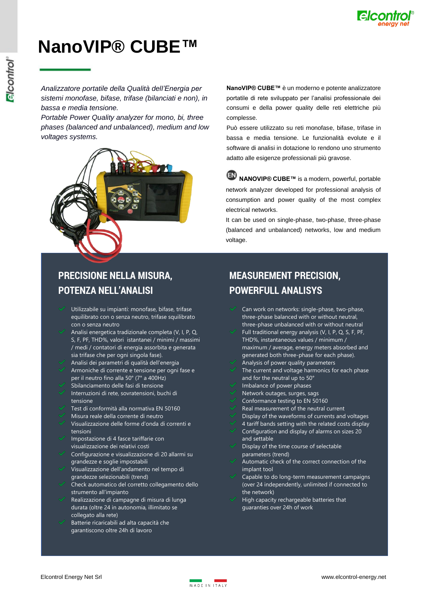

*Analizzatore portatile della Qualità dell'Energia per sistemi monofase, bifase, trifase (bilanciati e non), in bassa e media tensione.*

*Portable Power Quality analyzer for mono, bi, three phases (balanced and unbalanced), medium and low voltages systems.*



**NanoVIP® CUBE™** è un moderno e potente analizzatore portatile di rete sviluppato per l'analisi professionale dei consumi e della power quality delle reti elettriche più complesse.

Può essere utilizzato su reti monofase, bifase, trifase in bassa e media tensione. Le funzionalità evolute e il software di analisi in dotazione lo rendono uno strumento adatto alle esigenze professionali più gravose.

**NANOVIP® CUBE™** is a modern, powerful, portable network analyzer developed for professional analysis of consumption and power quality of the most complex electrical networks.

It can be used on single-phase, two-phase, three-phase (balanced and unbalanced) networks, low and medium voltage.

#### **PRECISIONE NELLA MISURA, POTENZA NELL'ANALISI**

- Utilizzabile su impianti: monofase, bifase, trifase equilibrato con o senza neutro, trifase squilibrato con o senza neutro
- Analisi energetica tradizionale completa (V, I, P, Q, S, F, PF, THD%, valori istantanei / minimi / massimi / medi / contatori di energia assorbita e generata sia trifase che per ogni singola fase).
- Analisi dei parametri di qualità dell'energia
- Armoniche di corrente e tensione per ogni fase e per il neutro fino alla 50° (7° a 400Hz)
- Sbilanciamento delle fasi di tensione
- Interruzioni di rete, sovratensioni, buchi di tensione
- Test di conformità alla normativa EN 50160
- Misura reale della corrente di neutro
- Visualizzazione delle forme d'onda di correnti e tensioni
- Impostazione di 4 fasce tariffarie con visualizzazione dei relativi costi
- Configurazione e visualizzazione di 20 allarmi su grandezze e soglie impostabili
- Visualizzazione dell'andamento nel tempo di grandezze selezionabili (trend)
- Check automatico del corretto collegamento dello strumento all'impianto
- Realizzazione di campagne di misura di lunga durata (oltre 24 in autonomia, illimitato se collegato alla rete)
- Batterie ricaricabili ad alta capacità che garantiscono oltre 24h di lavoro

#### **MEASUREMENT PRECISION, POWERFULL ANALISYS**

- Can work on networks: single-phase, two-phase, three-phase balanced with or without neutral, three-phase unbalanced with or without neutral
- Full traditional energy analysis (V, I, P, Q, S, F, PF, THD%, instantaneous values / minimum / maximum / average, energy meters absorbed and generated both three-phase for each phase). Analysis of power quality parameters
- The current and voltage harmonics for each phase
- and for the neutral up to 50°
- Imbalance of power phases
- Network outages, surges, sags
- Conformance testing to EN 50160
- Real measurement of the neutral current
- Display of the waveforms of currents and voltages
- 4 tariff bands setting with the related costs display Configuration and display of alarms on sizes 20 and settable
- Display of the time course of selectable parameters (trend)
- Automatic check of the correct connection of the implant tool
- Capable to do long-term measurement campaigns (over 24 independently, unlimited if connected to the network)
- High capacity rechargeable batteries that guaranties over 24h of work

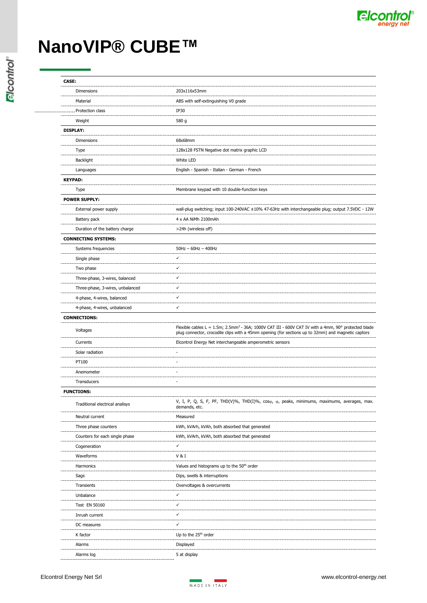

| <b>CASE:</b> |                                  |                                                                                                                                       |  |  |  |
|--------------|----------------------------------|---------------------------------------------------------------------------------------------------------------------------------------|--|--|--|
|              | Dimensions                       | 203x116x53mm                                                                                                                          |  |  |  |
|              | Material                         | ABS with self-extinguishing V0 grade                                                                                                  |  |  |  |
|              | Protection class                 | <b>IP30</b>                                                                                                                           |  |  |  |
|              | Weight                           | 580 g                                                                                                                                 |  |  |  |
|              | <b>DISPLAY:</b>                  |                                                                                                                                       |  |  |  |
|              | Dimensions                       | 68x68mm                                                                                                                               |  |  |  |
|              | Type                             | 128x128 FSTN Negative dot matrix graphic LCD                                                                                          |  |  |  |
|              | Backlight                        | White LED                                                                                                                             |  |  |  |
|              | Languages                        | English - Spanish - Italian - German - French                                                                                         |  |  |  |
|              | <b>KEYPAD:</b>                   |                                                                                                                                       |  |  |  |
|              | Type                             | Membrane keypad with 10 double-function keys                                                                                          |  |  |  |
|              | <b>POWER SUPPLY:</b>             |                                                                                                                                       |  |  |  |
|              | External power supply            | wall-plug switching; input 100-240VAC ±10% 47-63Hz with interchangeable plug; output 7.5VDC - 12W                                     |  |  |  |
|              | Battery pack                     | 4 x AA NiMh 2100mAh                                                                                                                   |  |  |  |
|              | Duration of the battery charge   | >24h (wireless off)                                                                                                                   |  |  |  |
|              | <b>CONNECTING SYSTEMS:</b>       |                                                                                                                                       |  |  |  |
|              | Systems frequencies              | $50Hz - 60Hz - 400Hz$                                                                                                                 |  |  |  |
|              | Single phase                     | ✓                                                                                                                                     |  |  |  |
|              | Two phase                        | ✓                                                                                                                                     |  |  |  |
|              | Three-phase, 3-wires, balanced   | ✓                                                                                                                                     |  |  |  |
|              | Three-phase, 3-wires, unbalanced | ✓                                                                                                                                     |  |  |  |
|              | 4-phase, 4-wires, balanced       | ✓                                                                                                                                     |  |  |  |
|              | 4-phase, 4-wires, unbalanced     | ✓                                                                                                                                     |  |  |  |
|              | <b>CONNECTIONS:</b>              |                                                                                                                                       |  |  |  |
|              |                                  | Flexible cables L = $1.5$ m; $2.5$ mm <sup>2</sup> - $36A$ ; $1000V$ CAT III - $600V$ CAT IV with a 4mm, $90^{\circ}$ protected blade |  |  |  |
|              | Voltages                         | plug connector, crocodile clips with a 45mm opening (for sections up to 32mm) and magnetic captors                                    |  |  |  |
|              | Currents                         | Elcontrol Energy Net interchangeable amperometric sensors                                                                             |  |  |  |
|              | Solar radiation                  |                                                                                                                                       |  |  |  |
|              | PT100                            |                                                                                                                                       |  |  |  |
|              | Anemometer                       |                                                                                                                                       |  |  |  |
|              | Transducers                      | ä,                                                                                                                                    |  |  |  |
|              | <b>FUNCTIONS:</b>                |                                                                                                                                       |  |  |  |
|              | Traditional electrical analisys  | V, I, P, Q, S, F, PF, THD(V)%, THD(I)%, $cos\varphi$ , $\varphi$ , peaks, minimums, maximums, averages, max.<br>demands, etc.         |  |  |  |
|              | Neutral current                  | Measured                                                                                                                              |  |  |  |
|              | Three phase counters             | kWh, kVArh, kVAh, both absorbed that generated                                                                                        |  |  |  |
|              | Counters for each single phase   | kWh, kVArh, kVAh, both absorbed that generated                                                                                        |  |  |  |
|              | Cogeneration                     | ✓                                                                                                                                     |  |  |  |
|              | Waveforms                        | V & I                                                                                                                                 |  |  |  |
|              | Harmonics                        | Values and histograms up to the 50 <sup>th</sup> order                                                                                |  |  |  |
|              | Sags                             | Dips, swells & interruptions                                                                                                          |  |  |  |
|              | Transients                       | Overvoltages & overcurrents                                                                                                           |  |  |  |
|              | Unbalance                        | ✓                                                                                                                                     |  |  |  |
|              | Test EN 50160                    | ✓                                                                                                                                     |  |  |  |
|              | Inrush current                   | ✓                                                                                                                                     |  |  |  |
|              |                                  | ✓                                                                                                                                     |  |  |  |
|              | DC measures                      |                                                                                                                                       |  |  |  |
|              | K factor                         | Up to the 25 <sup>th</sup> order                                                                                                      |  |  |  |
|              | Alarms                           | Displayed                                                                                                                             |  |  |  |
|              | Alarms log                       | 5 at display                                                                                                                          |  |  |  |

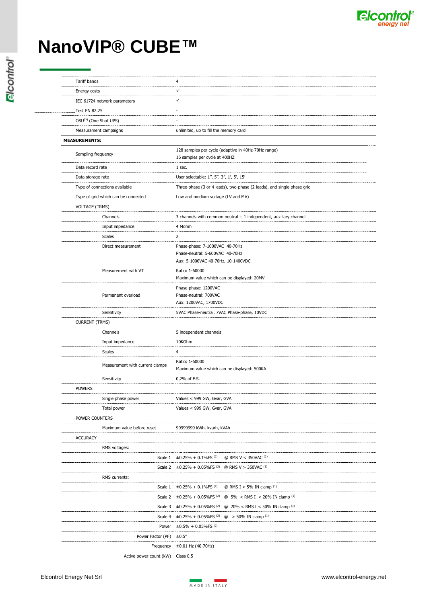

| <b>Tariff bands</b>                 | 4                                                                                       |
|-------------------------------------|-----------------------------------------------------------------------------------------|
| Energy costs                        | ✓                                                                                       |
| IEC 61724 network parameters        | ✓                                                                                       |
| <b>Test EN 82.25</b>                |                                                                                         |
| OSU™ (One Shot UPS)                 |                                                                                         |
| Measurament campaigns               | unlimited, up to fill the memory card                                                   |
| <b>MEASUREMENTS:</b>                |                                                                                         |
| Sampling frequency                  | 128 samples per cycle (adaptive in 40Hz-70Hz range)<br>16 samples per cycle at 400HZ    |
| Data record rate                    | 1 sec.                                                                                  |
| Data storage rate                   | User selectable: 1", 5", 3", 1', 5', 15'                                                |
| Type of connections available       | Three-phase (3 or 4 leads), two-phase (2 leads), and single phase grid                  |
| Type of grid which can be connected | Low and medium voltage (LV and MV)                                                      |
| <b>VOLTAGE (TRMS)</b>               |                                                                                         |
| Channels                            | 3 channels with common neutral + 1 independent, auxiliary channel                       |
| Input impedance                     | 4 Mohm                                                                                  |
| <b>Scales</b>                       | 2                                                                                       |
| Direct measurement                  | Phase-phase: 7-1000VAC 40-70Hz                                                          |
|                                     | Phase-neutral: 5-600VAC 40-70Hz                                                         |
|                                     | Aux: 5-1000VAC 40-70Hz, 10-1400VDC                                                      |
| Measurement with VT                 | Ratio: 1-60000                                                                          |
|                                     | Maximum value which can be displayed: 20MV                                              |
| Permanent overload                  | Phase-phase: 1200VAC<br>Phase-neutral: 700VAC                                           |
|                                     | Aux: 1200VAC, 1700VDC                                                                   |
| Sensitivity                         | 5VAC Phase-neutral, 7VAC Phase-phase, 10VDC                                             |
| <b>CURRENT (TRMS)</b>               |                                                                                         |
| Channels                            | 5 independent channels                                                                  |
| Input impedance                     | 10KOhm                                                                                  |
| Scales                              | 4                                                                                       |
| Measurement with current clamps     | Ratio: 1-60000<br>Maximum value which can be displayed: 500KA                           |
| Sensitivity                         | 0,2% of F.S.                                                                            |
| <b>POWERS</b>                       |                                                                                         |
| Single phase power                  | Values < 999 GW, Gvar, GVA                                                              |
| Total power                         | Values < 999 GW, Gvar, GVA                                                              |
| POWER COUNTERS                      |                                                                                         |
| Maximum value before reset          | 99999999 kWh, kvarh, kVAh                                                               |
| <b>ACCURACY</b>                     |                                                                                         |
| RMS voltages:                       |                                                                                         |
|                                     | Scale $1 +0.25\% + 0.1\%$ FS <sup>(2)</sup><br>@ RMS V < 350VAC (1)                     |
|                                     | Scale 2 $\pm 0.25\% + 0.05\%$ FS <sup>(2)</sup> @ RMS V > 350VAC <sup>(1)</sup>         |
| RMS currents:                       |                                                                                         |
|                                     | Scale $1 +0.25\% + 0.1\%$ FS <sup>(2)</sup><br>@ RMS I < 5% IN clamp $(1)$              |
|                                     | Scale 2 $\pm$ 0.25% + 0.05%FS <sup>(2)</sup> @ 5% < RMS I < 20% IN clamp <sup>(1)</sup> |
| Scale 3                             | $\pm 0.25\% + 0.05\%$ FS <sup>(2)</sup> @ 20% < RMS I < 50% IN clamp <sup>(1)</sup>     |
| Scale 4                             | $\pm 0.25\% + 0.05\%$ FS <sup>(2)</sup> @ > 50% IN clamp <sup>(1)</sup>                 |
| Power                               | $\pm 0.5\% + 0.05\%$ FS <sup>(2)</sup>                                                  |
| Power Factor (PF) ±0.5°             |                                                                                         |
| Frequency                           | $\pm 0.01$ Hz (40-70Hz)                                                                 |
| Active power count (kW)             | Class 0.5                                                                               |
|                                     |                                                                                         |